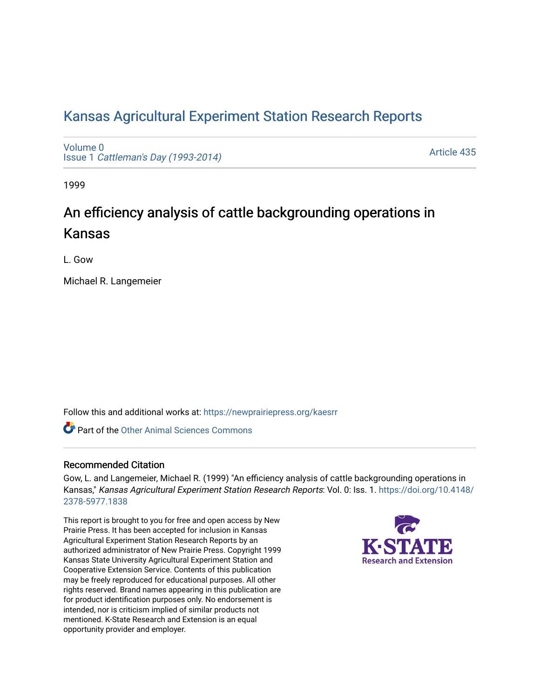## [Kansas Agricultural Experiment Station Research Reports](https://newprairiepress.org/kaesrr)

[Volume 0](https://newprairiepress.org/kaesrr/vol0) Issue 1 [Cattleman's Day \(1993-2014\)](https://newprairiepress.org/kaesrr/vol0/iss1) 

[Article 435](https://newprairiepress.org/kaesrr/vol0/iss1/435) 

1999

# An efficiency analysis of cattle backgrounding operations in Kansas

L. Gow

Michael R. Langemeier

Follow this and additional works at: [https://newprairiepress.org/kaesrr](https://newprairiepress.org/kaesrr?utm_source=newprairiepress.org%2Fkaesrr%2Fvol0%2Fiss1%2F435&utm_medium=PDF&utm_campaign=PDFCoverPages) 

**C** Part of the [Other Animal Sciences Commons](http://network.bepress.com/hgg/discipline/82?utm_source=newprairiepress.org%2Fkaesrr%2Fvol0%2Fiss1%2F435&utm_medium=PDF&utm_campaign=PDFCoverPages)

#### Recommended Citation

Gow, L. and Langemeier, Michael R. (1999) "An efficiency analysis of cattle backgrounding operations in Kansas," Kansas Agricultural Experiment Station Research Reports: Vol. 0: Iss. 1. [https://doi.org/10.4148/](https://doi.org/10.4148/2378-5977.1838) [2378-5977.1838](https://doi.org/10.4148/2378-5977.1838) 

This report is brought to you for free and open access by New Prairie Press. It has been accepted for inclusion in Kansas Agricultural Experiment Station Research Reports by an authorized administrator of New Prairie Press. Copyright 1999 Kansas State University Agricultural Experiment Station and Cooperative Extension Service. Contents of this publication may be freely reproduced for educational purposes. All other rights reserved. Brand names appearing in this publication are for product identification purposes only. No endorsement is intended, nor is criticism implied of similar products not mentioned. K-State Research and Extension is an equal opportunity provider and employer.

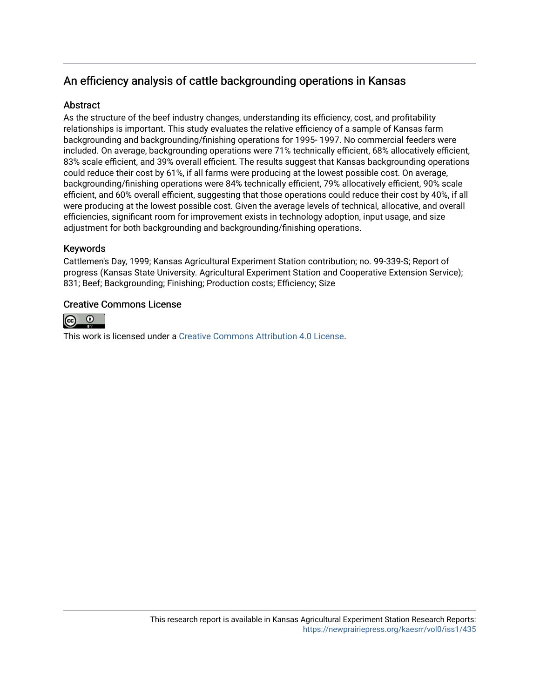### An efficiency analysis of cattle backgrounding operations in Kansas

#### **Abstract**

As the structure of the beef industry changes, understanding its efficiency, cost, and profitability relationships is important. This study evaluates the relative efficiency of a sample of Kansas farm backgrounding and backgrounding/finishing operations for 1995- 1997. No commercial feeders were included. On average, backgrounding operations were 71% technically efficient, 68% allocatively efficient, 83% scale efficient, and 39% overall efficient. The results suggest that Kansas backgrounding operations could reduce their cost by 61%, if all farms were producing at the lowest possible cost. On average, backgrounding/finishing operations were 84% technically efficient, 79% allocatively efficient, 90% scale efficient, and 60% overall efficient, suggesting that those operations could reduce their cost by 40%, if all were producing at the lowest possible cost. Given the average levels of technical, allocative, and overall efficiencies, significant room for improvement exists in technology adoption, input usage, and size adjustment for both backgrounding and backgrounding/finishing operations.

#### Keywords

Cattlemen's Day, 1999; Kansas Agricultural Experiment Station contribution; no. 99-339-S; Report of progress (Kansas State University. Agricultural Experiment Station and Cooperative Extension Service); 831; Beef; Backgrounding; Finishing; Production costs; Efficiency; Size

#### Creative Commons License



This work is licensed under a [Creative Commons Attribution 4.0 License](https://creativecommons.org/licenses/by/4.0/).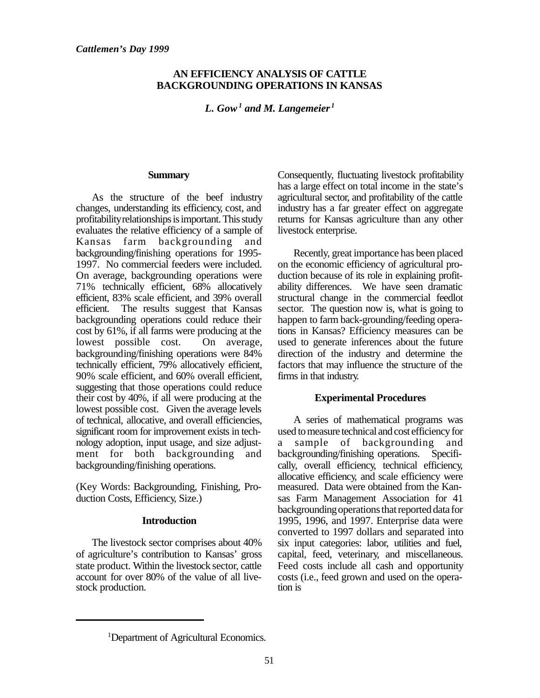#### **AN EFFICIENCY ANALYSIS OF CATTLE BACKGROUNDING OPERATIONS IN KANSAS**

*L. Gow<sup>1</sup> and M. Langemeier <sup>1</sup>*

#### **Summary**

As the structure of the beef industry changes, understanding its efficiency, cost, and profitability relationships is important. This study evaluates the relative efficiency of a sample of Kansas farm backgrounding and backgrounding/finishing operations for 1995- 1997. No commercial feeders were included. On average, backgrounding operations were 71% technically efficient, 68% allocatively efficient, 83% scale efficient, and 39% overall efficient. The results suggest that Kansas backgrounding operations could reduce their cost by 61%, if all farms were producing at the lowest possible cost. On average, backgrounding/finishing operations were 84% technically efficient, 79% allocatively efficient, 90% scale efficient, and 60% overall efficient, suggesting that those operations could reduce their cost by 40%, if all were producing at the lowest possible cost. Given the average levels of technical, allocative, and overall efficiencies, significant room for improvement exists in technology adoption, input usage, and size adjustment for both backgrounding and backgrounding/finishing operations.

(Key Words: Backgrounding, Finishing, Production Costs, Efficiency, Size.)

#### **Introduction**

The livestock sector comprises about 40% of agriculture's contribution to Kansas' gross state product. Within the livestock sector, cattle account for over 80% of the value of all livestock production.

Consequently, fluctuating livestock profitability has a large effect on total income in the state's agricultural sector, and profitability of the cattle industry has a far greater effect on aggregate returns for Kansas agriculture than any other livestock enterprise.

Recently, great importance has been placed on the economic efficiency of agricultural production because of its role in explaining profitability differences. We have seen dramatic structural change in the commercial feedlot sector. The question now is, what is going to happen to farm back-grounding/feeding operations in Kansas? Efficiency measures can be used to generate inferences about the future direction of the industry and determine the factors that may influence the structure of the firms in that industry.

#### **Experimental Procedures**

A series of mathematical programs was used to measure technical and cost efficiency for a sample of backgrounding and backgrounding/finishing operations. Specifically, overall efficiency, technical efficiency, allocative efficiency, and scale efficiency were measured. Data were obtained from the Kansas Farm Management Association for 41 backgrounding operations that reported data for 1995, 1996, and 1997. Enterprise data were converted to 1997 dollars and separated into six input categories: labor, utilities and fuel, capital, feed, veterinary, and miscellaneous. Feed costs include all cash and opportunity costs (i.e., feed grown and used on the operation is

<sup>1</sup>Department of Agricultural Economics.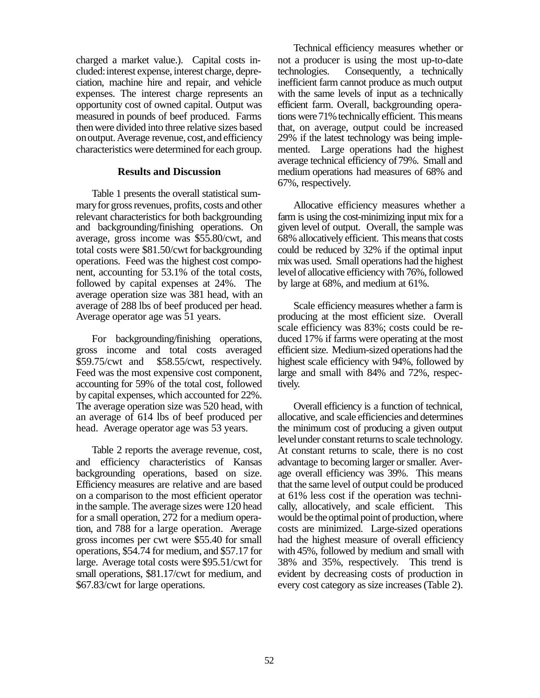charged a market value.). Capital costs included: interest expense, interest charge, depreciation, machine hire and repair, and vehicle expenses. The interest charge represents an opportunity cost of owned capital. Output was measured in pounds of beef produced. Farms then were divided into three relative sizes based on output. Average revenue, cost, and efficiency characteristics were determined for each group.

#### **Results and Discussion**

Table 1 presents the overall statistical summary for gross revenues, profits, costs and other relevant characteristics for both backgrounding and backgrounding/finishing operations. On average, gross income was \$55.80/cwt, and total costs were \$81.50/cwt for backgrounding operations. Feed was the highest cost component, accounting for 53.1% of the total costs, followed by capital expenses at 24%. The average operation size was 381 head, with an average of 288 lbs of beef produced per head. Average operator age was 51 years.

For backgrounding/finishing operations, gross income and total costs averaged \$59.75/cwt and \$58.55/cwt, respectively. Feed was the most expensive cost component, accounting for 59% of the total cost, followed by capital expenses, which accounted for 22%. The average operation size was 520 head, with an average of 614 lbs of beef produced per head. Average operator age was 53 years.

Table 2 reports the average revenue, cost, and efficiency characteristics of Kansas backgrounding operations, based on size. Efficiency measures are relative and are based on a comparison to the most efficient operator in the sample. The average sizes were 120 head for a small operation, 272 for a medium operation, and 788 for a large operation. Average gross incomes per cwt were \$55.40 for small operations, \$54.74 for medium, and \$57.17 for large. Average total costs were \$95.51/cwt for small operations, \$81.17/cwt for medium, and \$67.83/cwt for large operations.

Technical efficiency measures whether or not a producer is using the most up-to-date technologies. Consequently, a technically inefficient farm cannot produce as much output with the same levels of input as a technically efficient farm. Overall, backgrounding operations were 71% technically efficient. This means that, on average, output could be increased 29% if the latest technology was being implemented. Large operations had the highest average technical efficiency of 79%. Small and medium operations had measures of 68% and 67%, respectively.

Allocative efficiency measures whether a farm is using the cost-minimizing input mix for a given level of output. Overall, the sample was 68% allocatively efficient. This means that costs could be reduced by 32% if the optimal input mix was used. Small operations had the highest level of allocative efficiency with 76%, followed by large at 68%, and medium at 61%.

Scale efficiency measures whether a farm is producing at the most efficient size. Overall scale efficiency was 83%; costs could be reduced 17% if farms were operating at the most efficient size. Medium-sized operations had the highest scale efficiency with 94%, followed by large and small with 84% and 72%, respectively.

Overall efficiency is a function of technical, allocative, and scale efficiencies and determines the minimum cost of producing a given output level under constant returns to scale technology. At constant returns to scale, there is no cost advantage to becoming larger or smaller. Average overall efficiency was 39%. This means that the same level of output could be produced at 61% less cost if the operation was technically, allocatively, and scale efficient. This would be the optimal point of production, where costs are minimized. Large-sized operations had the highest measure of overall efficiency with 45%, followed by medium and small with 38% and 35%, respectively. This trend is evident by decreasing costs of production in every cost category as size increases (Table 2).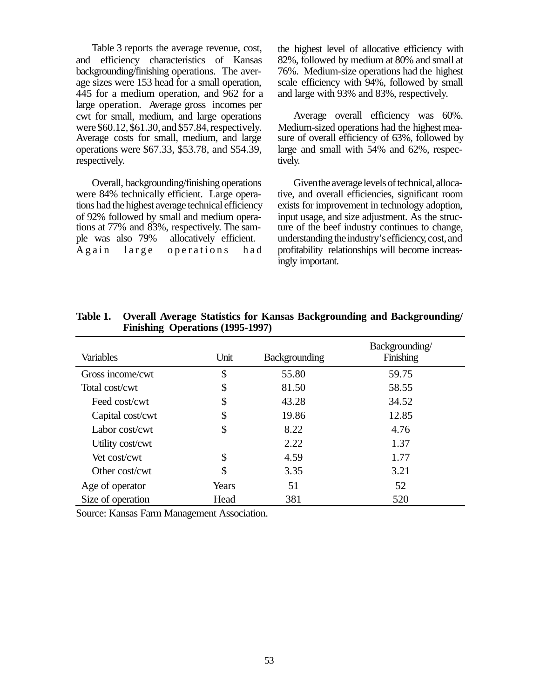Table 3 reports the average revenue, cost, and efficiency characteristics of Kansas backgrounding/finishing operations. The average sizes were 153 head for a small operation, 445 for a medium operation, and 962 for a large operation. Average gross incomes per cwt for small, medium, and large operations were \$60.12, \$61.30, and \$57.84, respectively. Average costs for small, medium, and large operations were \$67.33, \$53.78, and \$54.39, respectively.

Overall, backgrounding/finishing operations were 84% technically efficient. Large operations had the highest average technical efficiency of 92% followed by small and medium operations at 77% and 83%, respectively. The sample was also 79% allocatively efficient. Again large operations had

the highest level of allocative efficiency with 82%, followed by medium at 80% and small at 76%. Medium-size operations had the highest scale efficiency with 94%, followed by small and large with 93% and 83%, respectively.

Average overall efficiency was 60%. Medium-sized operations had the highest measure of overall efficiency of 63%, followed by large and small with 54% and 62%, respectively.

Given the average levels of technical, allocative, and overall efficiencies, significant room exists for improvement in technology adoption, input usage, and size adjustment. As the structure of the beef industry continues to change, understanding the industry's efficiency, cost, and profitability relationships will become increasingly important.

| Variables         | Unit  | <b>Backgrounding</b> | Backgrounding/<br>Finishing |
|-------------------|-------|----------------------|-----------------------------|
| Gross income/cwt  | \$    | 55.80                | 59.75                       |
| Total cost/cwt    | \$    | 81.50                | 58.55                       |
| Feed cost/cwt     | \$    | 43.28                | 34.52                       |
| Capital cost/cwt  | \$    | 19.86                | 12.85                       |
| Labor cost/cwt    | \$    | 8.22                 | 4.76                        |
| Utility cost/cwt  |       | 2.22                 | 1.37                        |
| Vet cost/cwt      | \$    | 4.59                 | 1.77                        |
| Other cost/cwt    | \$    | 3.35                 | 3.21                        |
| Age of operator   | Years | 51                   | 52                          |
| Size of operation | Head  | 381                  | 520                         |

**Table 1. Overall Average Statistics for Kansas Backgrounding and Backgrounding/ Finishing Operations (1995-1997)**

Source: Kansas Farm Management Association.